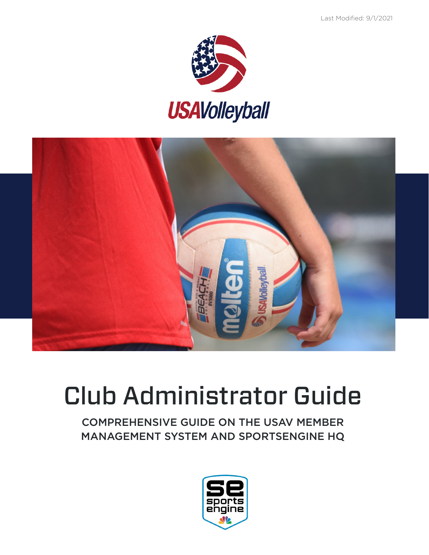



# Club Administrator Guide

COMPREHENSIVE GUIDE ON THE USAV MEMBER MANAGEMENT SYSTEM AND SPORTSENGINE HQ

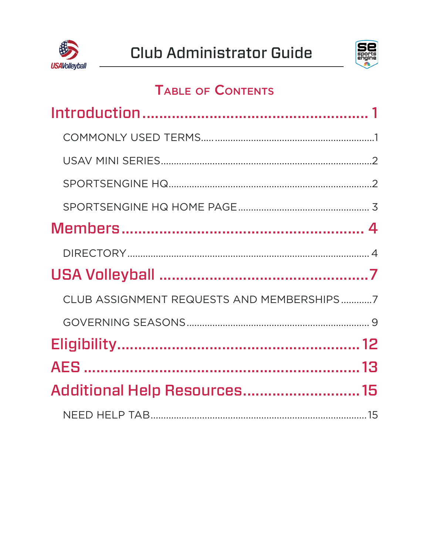



## **TABLE OF CONTENTS**

| CLUB ASSIGNMENT REQUESTS AND MEMBERSHIPS7 |  |
|-------------------------------------------|--|
|                                           |  |
|                                           |  |
|                                           |  |
| Additional Help Resources 15              |  |
|                                           |  |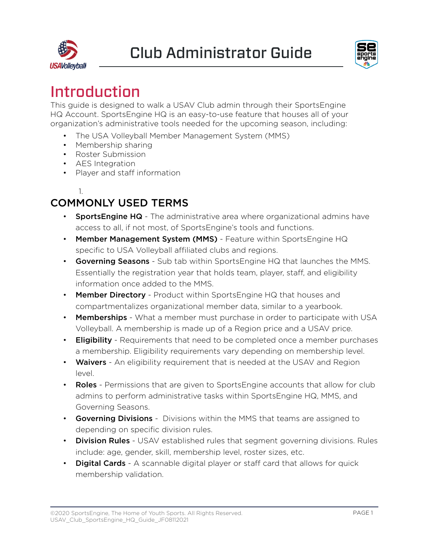<span id="page-2-0"></span>



## Introduction

This guide is designed to walk a USAV Club admin through their SportsEngine HQ Account. SportsEngine HQ is an easy-to-use feature that houses all of your organization's administrative tools needed for the upcoming season, including:

- The USA Volleyball Member Management System (MMS)
- Membership sharing
- Roster Submission
- AES Integration
- Player and staff information

#### 1.

## COMMONLY USED TERMS

- SportsEngine HQ The administrative area where organizational admins have access to all, if not most, of SportsEngine's tools and functions.
- Member Management System (MMS) Feature within SportsEngine HQ specific to USA Volleyball affiliated clubs and regions.
- Governing Seasons Sub tab within SportsEngine HQ that launches the MMS. Essentially the registration year that holds team, player, staff, and eligibility information once added to the MMS.
- Member Directory Product within SportsEngine HQ that houses and compartmentalizes organizational member data, similar to a yearbook.
- Memberships What a member must purchase in order to participate with USA Volleyball. A membership is made up of a Region price and a USAV price.
- Eligibility Requirements that need to be completed once a member purchases a membership. Eligibility requirements vary depending on membership level.
- Waivers An eligibility requirement that is needed at the USAV and Region level.
- Roles Permissions that are given to SportsEngine accounts that allow for club admins to perform administrative tasks within SportsEngine HQ, MMS, and Governing Seasons.
- Governing Divisions Divisions within the MMS that teams are assigned to depending on specific division rules.
- Division Rules USAV established rules that segment governing divisions. Rules include: age, gender, skill, membership level, roster sizes, etc.
- Digital Cards A scannable digital player or staff card that allows for quick membership validation.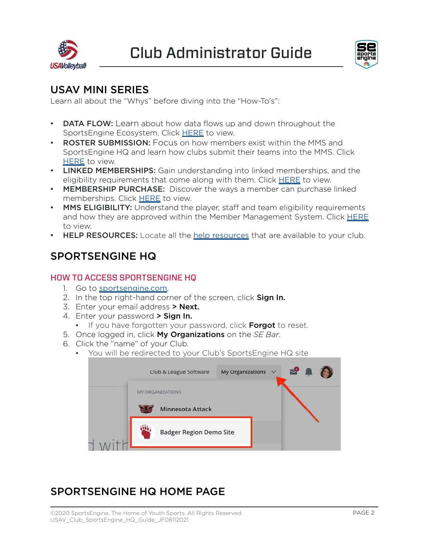



### USAV MINI SERIES

Learn all about the "Whys" before diving into the "How-To's":

- DATA FLOW: Learn about how data flows up and down throughout the SportsEngine Ecosystem. Click [HERE](https://sportsengine.wistia.com/medias/6zl2ldm7rx) to view.
- ROSTER SUBMISSION: Focus on how members exist within the MMS and SportsEngine HQ and learn how clubs submit their teams into the MMS. Click **[HERE](https://sportsengine.wistia.com/medias/oxmi51u2cz)** to view.
- LINKED MEMBERSHIPS: Gain understanding into linked memberships, and the eligibility requirements that come along with them. Click **[HERE](https://sportsengine.wistia.com/medias/w4rlh2m4j7)** to view.
- MEMBERSHIP PURCHASE: Discover the ways a member can purchase linked memberships. Click [HERE](https://sportsengine.wistia.com/medias/7px9uz2blz) to view.
- MMS ELIGIBILITY: Understand the player, staff and team eligibility requirements and how they are approved within the Member Management System. Click [HERE](https://sportsengine.wistia.com/medias/lkue2kai7j) to view.
- **HELP RESOURCES:** Locate all the [help resources](https://help.sportsengine.com/en) that are available to your club.

### SPORTSENGINE HQ

#### HOW TO ACCESS SPORTSENGINE HQ

- 1. Go to [sportsengine.com](http://www.sportsengine.com).
- 2. In the top right-hand corner of the screen, click **Sign In.**
- 3. Enter your email address > Next.
- 4. Enter your password > Sign In.
	- **.** If you have forgotten your password, click Forgot to reset.
- 5. Once logged in, click My Organizations on the *SE Bar*.
- 6. Click the "name" of your Club.
	- You will be redirected to your Club's SportsEngine HQ site

| My Organizations $\vee$<br>Club & League Software | <b>2</b> 1 |
|---------------------------------------------------|------------|
| <b>MY ORGANIZATIONS</b>                           |            |
| Minnesota Attack                                  |            |
| <b>Badger Region Demo Site</b>                    |            |

## SPORTSENGINE HQ HOME PAGE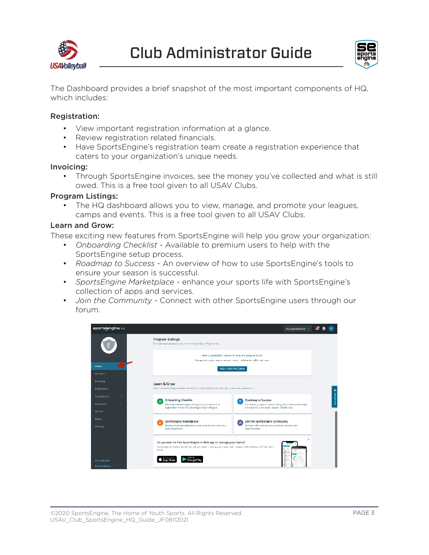



The Dashboard provides a brief snapshot of the most important components of HQ, which includes:

#### Registration:

- View important registration information at a glance.
- Review registration related financials.
- Have SportsEngine's registration team create a registration experience that caters to your organization's unique needs.

#### Invoicing:

• Through SportsEngine invoices, see the money you've collected and what is still owed. This is a free tool given to all USAV Clubs.

#### Program Listings:

• The HQ dashboard allows you to view, manage, and promote your leagues, camps and events. This is a free tool given to all USAV Clubs.

#### Learn and Grow:

These exciting new features from SportsEngine will help you grow your organization:

- *• Onboarding Checklist* Available to premium users to help with the SportsEngine setup process.
- *• Roadmap to Success*  An overview of how to use SportsEngine's tools to ensure your season is successful.
- *• SportsEngine Marketplace*  enhance your sports life with SportsEngine's collection of apps and services.
- *• Join the Community* Connect with other SportsEngine users through our forum.

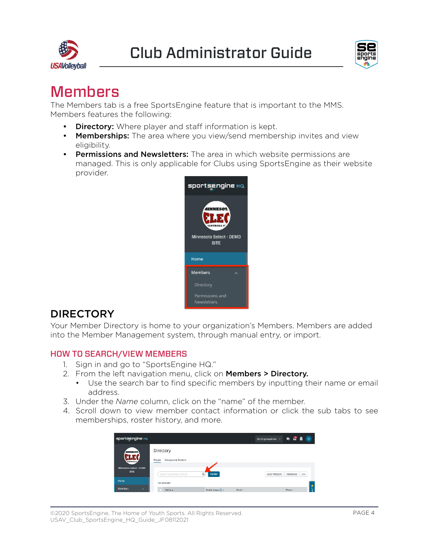<span id="page-5-0"></span>



## **Members**

The Members tab is a free SportsEngine feature that is important to the MMS. Members features the following:

- **Directory:** Where player and staff information is kept.
- Memberships: The area where you view/send membership invites and view eligibility.
- Permissions and Newsletters: The area in which website permissions are managed. This is only applicable for Clubs using SportsEngine as their website provider.



### **DIRECTORY**

Your Member Directory is home to your organization's Members. Members are added into the Member Management system, through manual entry, or import.

#### HOW TO SEARCH/VIEW MEMBERS

- 1. Sign in and go to "SportsEngine HQ."
- 2. From the left navigation menu, click on Members > Directory.
	- Use the search bar to find specific members by inputting their name or email address.
- 3. Under the *Name* column, click on the "name" of the member.
- 4. Scroll down to view member contact information or click the sub tabs to see memberships, roster history, and more.

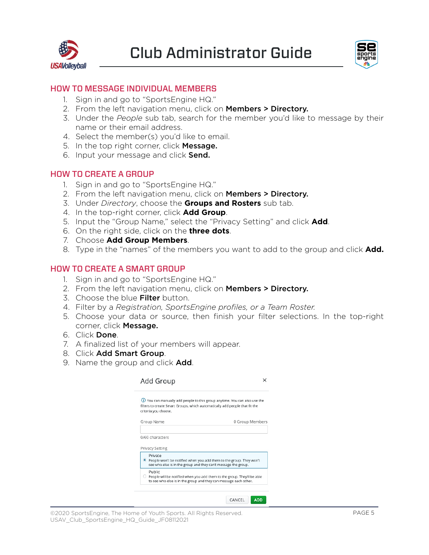

Club Administrator Guide



#### HOW TO MESSAGE INDIVIDUAL MEMBERS

- 1. Sign in and go to "SportsEngine HQ."
- 2. From the left navigation menu, click on Members > Directory.
- 3. Under the *People* sub tab, search for the member you'd like to message by their name or their email address.
- 4. Select the member(s) you'd like to email.
- 5. In the top right corner, click Message.
- 6. Input your message and click **Send.**

#### HOW TO CREATE A GROUP

- 1. Sign in and go to "SportsEngine HQ."
- 2. From the left navigation menu, click on **Members > Directory.**
- 3. Under *Directory*, choose the **Groups and Rosters** sub tab.
- 4. In the top-right corner, click **Add Group**.
- 5. Input the "Group Name," select the "Privacy Setting" and click **Add**.
- 6. On the right side, click on the **three dots**.
- 7. Choose **Add Group Members**.
- 8. Type in the "names" of the members you want to add to the group and click **Add.**

#### HOW TO CREATE A SMART GROUP

- 1. Sign in and go to "SportsEngine HQ."
- 2. From the left navigation menu, click on Members > Directory.
- 3. Choose the blue Filter button.
- 4. Filter by a *Registration, SportsEngine profiles, or a Team Roster.*
- 5. Choose your data or source, then finish your filter selections. In the top-right corner, click Message.
- 6. Click Done.
- 7. A finalized list of your members will appear.
- 8. Click Add Smart Group.
- 9. Name the group and click Add.

| Add Group                                                                                                              |                                                                                    |
|------------------------------------------------------------------------------------------------------------------------|------------------------------------------------------------------------------------|
| filters to create Smart Groups, which automatically add people that fit the<br>criteria you choose.                    | (i) You can manually add people to this group anytime. You can also use the        |
| Group Name                                                                                                             | 0 Group Members                                                                    |
| 0/60 characters<br>Privacy Setting<br>Private<br>. People won't be notified when you add them to the group. They won't |                                                                                    |
| see who else is in the group and they can't message the group.<br>Public                                               |                                                                                    |
| to see who else is in the group and they can message each other.                                                       | $\bigcirc$ People will be notified when you add them to the group. They'll be able |
|                                                                                                                        |                                                                                    |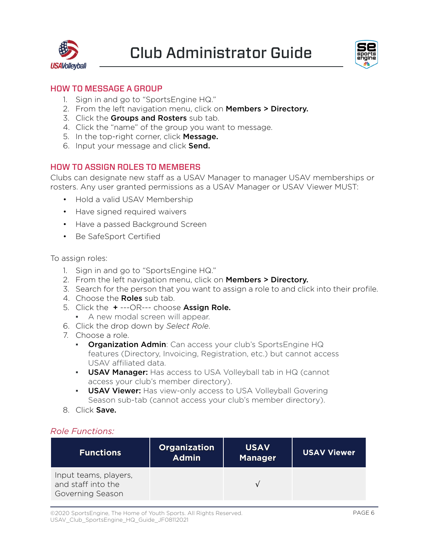



#### HOW TO MESSAGE A GROUP

- 1. Sign in and go to "SportsEngine HQ."
- 2. From the left navigation menu, click on Members > Directory.
- 3. Click the Groups and Rosters sub tab.
- 4. Click the "name" of the group you want to message.
- 5. In the top-right corner, click Message.
- 6. Input your message and click Send.

#### HOW TO ASSIGN ROLES TO MEMBERS

Clubs can designate new staff as a USAV Manager to manager USAV memberships or rosters. Any user granted permissions as a USAV Manager or USAV Viewer MUST:

- Hold a valid USAV Membership
- Have signed required waivers
- Have a passed Background Screen
- Be SafeSport Certified

To assign roles:

- 1. Sign in and go to "SportsEngine HQ."
- 2. From the left navigation menu, click on Members > Directory.
- 3. Search for the person that you want to assign a role to and click into their profile.
- 4. Choose the **Roles** sub tab.
- 5. Click the  $+$  ---OR--- choose Assign Role.
	- **A new modal screen will appear.**
- 6. Click the drop down by *Select Role*.
- 7. Choose a role.
	- **Organization Admin:** Can access your club's SportsEngine HQ features (Directory, Invoicing, Registration, etc.) but cannot access USAV affiliated data.
	- **USAV Manager:** Has access to USA Volleyball tab in HQ (cannot access your club's member directory).
	- **USAV Viewer:** Has view-only access to USA Volleyball Govering Season sub-tab (cannot access your club's member directory).
- 8. Click Save.

#### *Role Functions:*

| <b>Functions</b>                                                | <b>Organization</b><br><b>Admin</b> | <b>USAV</b><br><b>Manager</b> | <b>USAV Viewer</b> |
|-----------------------------------------------------------------|-------------------------------------|-------------------------------|--------------------|
| Input teams, players,<br>and staff into the<br>Governing Season |                                     |                               |                    |

©2020 SportsEngine, The Home of Youth Sports. All Rights Reserved. USAV\_Club\_SportsEngine\_HQ\_Guide\_JF08112021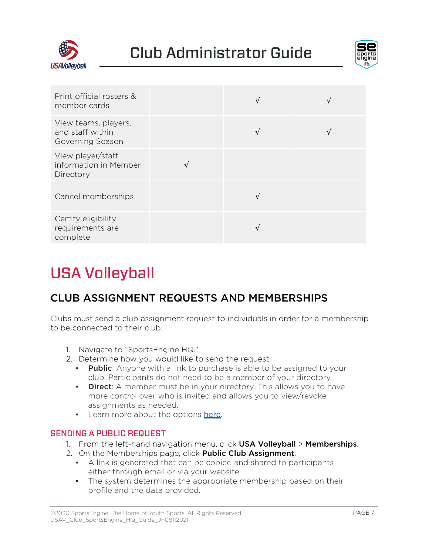



| Print official rosters &<br>member cards                     |  |  |
|--------------------------------------------------------------|--|--|
| View teams, players,<br>and staff within<br>Governing Season |  |  |
| View player/staff<br>information in Member<br>Directory      |  |  |
| Cancel memberships                                           |  |  |
| Certify eligibility<br>requirements are<br>complete          |  |  |

## USA Volleyball

## CLUB ASSIGNMENT REQUESTS AND MEMBERSHIPS

Clubs must send a club assignment request to individuals in order for a membership to be connected to their club.

- 1. Navigate to "SportsEngine HQ."
- 2. Determine how you would like to send the request:
	- **Public:** Anyone with a link to purchase is able to be assigned to your club. Participants do not need to be a member of your directory.
	- **Direct**: A member must be in your directory. This allows you to have more control over who is invited and allows you to view/revoke assignments as needed.
	- **•** Learn more about the options [here](https://help.sportsengine.com/articles/1841).

#### SENDING A PUBLIC REQUEST

- 1. From the left-hand navigation menu, click USA Volleyball > Memberships.
- 2. On the Memberships page, click **Public Club Assignment**.
	- A link is generated that can be copied and shared to participants either through email or via your website.
	- **•** The system determines the appropriate membership based on their profile and the data provided.

<sup>©2020</sup> SportsEngine, The Home of Youth Sports. All Rights Reserved. USAV\_Club\_SportsEngine\_HQ\_Guide\_JF08112021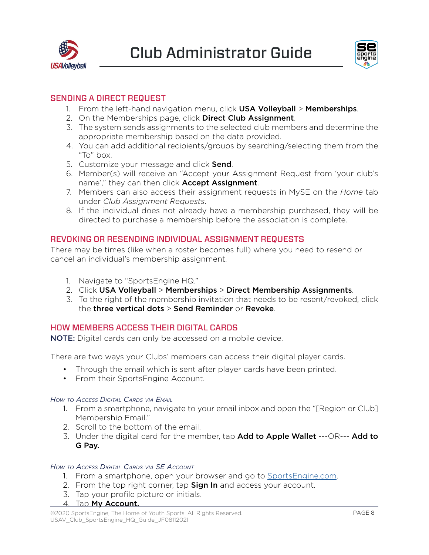<span id="page-9-0"></span>



#### SENDING A DIRECT REQUEST

- 1. From the left-hand navigation menu, click USA Volleyball > Memberships.
- 2. On the Memberships page, click **Direct Club Assignment**.
- 3. The system sends assignments to the selected club members and determine the appropriate membership based on the data provided.
- 4. You can add additional recipients/groups by searching/selecting them from the "To" box.
- 5. Customize your message and click **Send**.
- 6. Member(s) will receive an "Accept your Assignment Request from 'your club's name'," they can then click **Accept Assignment**.
- 7. Members can also access their assignment requests in MySE on the *Home* tab under *Club Assignment Requests*.
- 8. If the individual does not already have a membership purchased, they will be directed to purchase a membership before the association is complete.

#### REVOKING OR RESENDING INDIVIDUAL ASSIGNMENT REQUESTS

There may be times (like when a roster becomes full) where you need to resend or cancel an individual's membership assignment.

- 1. Navigate to "SportsEngine HQ."
- 2. Click USA Volleyball > Memberships > Direct Membership Assignments.
- 3. To the right of the membership invitation that needs to be resent/revoked, click the three vertical dots > Send Reminder or Revoke.

#### HOW MEMBERS ACCESS THEIR DIGITAL CARDS

NOTE: Digital cards can only be accessed on a mobile device.

There are two ways your Clubs' members can access their digital player cards.

- Through the email which is sent after player cards have been printed.
- From their SportsEngine Account.

#### *How to Access Digital Cards via Email*

- 1. From a smartphone, navigate to your email inbox and open the "[Region or Club] Membership Email."
- 2. Scroll to the bottom of the email.
- 3. Under the digital card for the member, tap **Add to Apple Wallet ---**OR--- **Add to** G Pay.

#### *How to Access Digital Cards via SE Account*

- 1. From a smartphone, open your browser and go to [SportsEngine.com.](https://www.sportsengine.com/)
- 2. From the top right corner, tap **Sign In** and access your account.
- 3. Tap your profile picture or initials.
- 4. Tap My Account.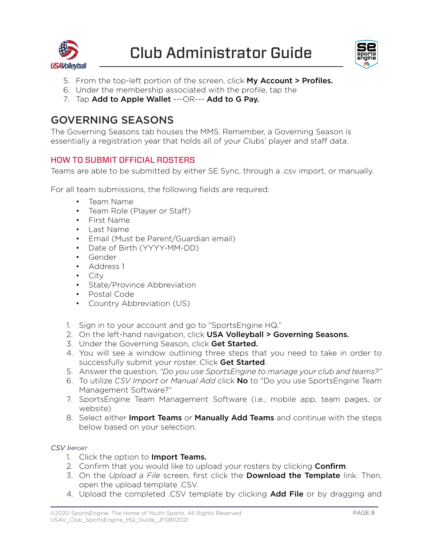



- 5. From the top-left portion of the screen, click My Account > Profiles.
- 6. Under the membership associated with the profile, tap the
- 7. Tap Add to Apple Wallet ---OR--- Add to G Pay.

### GOVERNING SEASONS

The Governing Seasons tab houses the MMS. Remember, a Governing Season is essentially a registration year that holds all of your Clubs' player and staff data.

#### HOW TO SUBMIT OFFICIAL ROSTERS

Teams are able to be submitted by either SE Sync, through a .csv import, or manually.

For all team submissions, the following fields are required:

- Team Name
- Team Role (Player or Staff)
- First Name
- Last Name
- Email (Must be Parent/Guardian email)
- Date of Birth (YYYY-MM-DD)
- Gender
- Address 1
- City
- State/Province Abbreviation
- Postal Code
- Country Abbreviation (US)
- 1. Sign in to your account and go to "SportsEngine HQ."
- 2. On the left-hand navigation, click USA Volleyball > Governing Seasons.
- 3. Under the Governing Season, click Get Started.
- 4. You will see a window outlining three steps that you need to take in order to successfully submit your roster. Click Get Started.
- 5. Answer the question, *"Do you use SportsEngine to manage your club and teams?"*
- 6. To utilize *CSV Import* or *Manual Add* click No to "Do you use SportsEngine Team Management Software?"
- 7. SportsEngine Team Management Software (i.e., mobile app, team pages, or website)
- 8. Select either Import Teams or Manually Add Teams and continue with the steps below based on your selection.

#### *CSV Import*

- 1. Click the option to **Import Teams.**
- 2. Confirm that you would like to upload your rosters by clicking Confirm.
- 3. On the *Upload a File* screen, first click the Download the Template link. Then, open the upload template .CSV.
- 4. Upload the completed .CSV template by clicking **Add File** or by dragging and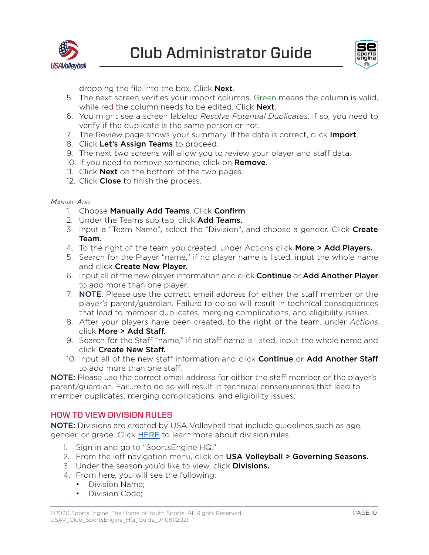



dropping the file into the box. Click **Next**.

- 5. The next screen verifies your import columns. Green means the column is valid, while red the column needs to be edited. Click **Next**.
- 6. You might see a screen labeled *Resolve Potential Duplicates*. If so, you need to verify if the duplicate is the same person or not.
- 7. The Review page shows your summary. If the data is correct, click Import.
- 8. Click Let's Assign Teams to proceed.
- 9. The next two screens will allow you to review your player and staff data.
- 10. If you need to remove someone, click on **Remove**.
- 11. Click **Next** on the bottom of the two pages.
- 12. Click Close to finish the process.

#### *Manual Add*

- 1. Choose Manually Add Teams. Click Confirm.
- 2. Under the Teams sub tab, click Add Teams.
- 3. Input a "Team Name", select the "Division", and choose a gender. Click **Create** Team.
- 4. To the right of the team you created, under Actions click More > Add Players.
- 5. Search for the Player "name," if no player name is listed, input the whole name and click Create New Player.
- 6. Input all of the new player information and click **Continue** or **Add Another Player** to add more than one player.
- 7. **NOTE:** Please use the correct email address for either the staff member or the player's parent/guardian. Failure to do so will result in technical consequences that lead to member duplicates, merging complications, and eligibility issues.
- 8. After your players have been created, to the right of the team, under *Actions* click More > Add Staff.
- 9. Search for the Staff "name," if no staff name is listed, input the whole name and click Create New Staff.
- 10. Input all of the new staff information and click Continue or Add Another Staff to add more than one staff.

NOTE: Please use the correct email address for either the staff member or the player's parent/guardian. Failure to do so will result in technical consequences that lead to member duplicates, merging complications, and eligibility issues.

#### HOW TO VIEW DIVISION RULES

NOTE: Divisions are created by USA Volleyball that include guidelines such as age, gender, or grade. Click [HERE](https://help.sportsengine.com/en/articles/1467) to learn more about division rules.

- 1. Sign in and go to "SportsEngine HQ."
- 2. From the left navigation menu, click on USA Volleyball > Governing Seasons.
- 3. Under the season you'd like to view, click **Divisions.**
- 4. From here, you will see the following:
	- Division Name;
	- Division Code;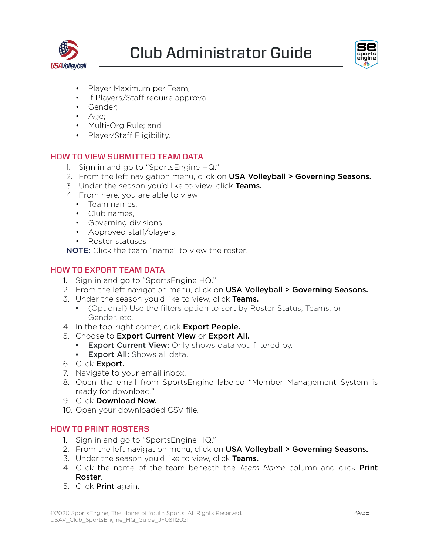<span id="page-12-0"></span>



- Player Maximum per Team;
- If Players/Staff require approval;
- Gender;
- Age;
- Multi-Org Rule; and
- Player/Staff Eligibility.

#### HOW TO VIEW SUBMITTED TEAM DATA

- 1. Sign in and go to "SportsEngine HQ."
- 2. From the left navigation menu, click on USA Volleyball > Governing Seasons.
- 3. Under the season you'd like to view, click Teams.
- 4. From here, you are able to view:
	- Team names,
	- Club names,
	- Governing divisions,
	- Approved staff/players,
	- Roster statuses

NOTE: Click the team "name" to view the roster.

#### HOW TO EXPORT TEAM DATA

- 1. Sign in and go to "SportsEngine HQ."
- 2. From the left navigation menu, click on USA Volleyball > Governing Seasons.
- 3. Under the season you'd like to view, click Teams.
	- (Optional) Use the filters option to sort by Roster Status, Teams, or Gender, etc.
- 4. In the top-right corner, click **Export People.**
- 5. Choose to Export Current View or Export All.
	- **Export Current View:** Only shows data you filtered by.
	- **Export All:** Shows all data.
- 6. Click Export.
- 7. Navigate to your email inbox.
- 8. Open the email from SportsEngine labeled "Member Management System is ready for download."
- 9. Click Download Now.
- 10. Open your downloaded CSV file.

#### HOW TO PRINT ROSTERS

- 1. Sign in and go to "SportsEngine HQ."
- 2. From the left navigation menu, click on **USA Volleyball > Governing Seasons.**
- 3. Under the season you'd like to view, click Teams.
- 4. Click the name of the team beneath the *Team Name* column and click Print Roster.
- 5. Click **Print** again.

©2020 SportsEngine, The Home of Youth Sports. All Rights Reserved. USAV\_Club\_SportsEngine\_HQ\_Guide\_JF08112021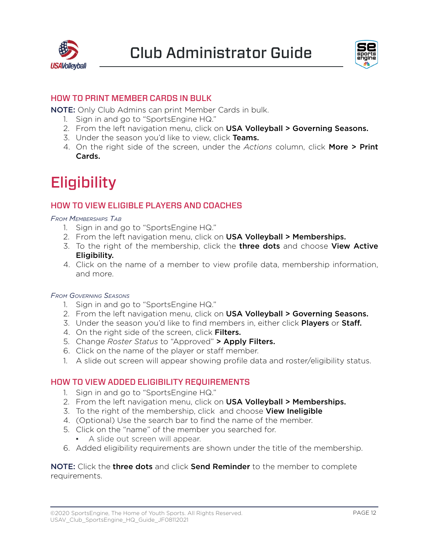



#### HOW TO PRINT MEMBER CARDS IN BULK

NOTE: Only Club Admins can print Member Cards in bulk.

- 1. Sign in and go to "SportsEngine HQ."
- 2. From the left navigation menu, click on USA Volleyball > Governing Seasons.
- 3. Under the season you'd like to view, click Teams.
- 4. On the right side of the screen, under the *Actions* column, click More > Print Cards.

## **Eligibility**

#### HOW TO VIEW ELIGIBLE PLAYERS AND COACHES

*From Memberships Tab*

- 1. Sign in and go to "SportsEngine HQ."
- 2. From the left navigation menu, click on USA Volleyball > Memberships.
- 3. To the right of the membership, click the three dots and choose View Active Eligibility.
- 4. Click on the name of a member to view profile data, membership information, and more.

#### *From Governing Seasons*

- 1. Sign in and go to "SportsEngine HQ."
- 2. From the left navigation menu, click on USA Volleyball > Governing Seasons.
- 3. Under the season you'd like to find members in, either click **Players** or **Staff.**
- 4. On the right side of the screen, click Filters.
- 5. Change *Roster Status* to "Approved" > Apply Filters.
- 6. Click on the name of the player or staff member.
- 1. A slide out screen will appear showing profile data and roster/eligibility status.

#### HOW TO VIEW ADDED ELIGIBILITY REQUIREMENTS

- 1. Sign in and go to "SportsEngine HQ."
- 2. From the left navigation menu, click on USA Volleyball > Memberships.
- 3. To the right of the membership, click and choose **View Ineligible**
- 4. (Optional) Use the search bar to find the name of the member.
- 5. Click on the "name" of the member you searched for.
	- **•** A slide out screen will appear.
- 6. Added eligibility requirements are shown under the title of the membership.

NOTE: Click the three dots and click Send Reminder to the member to complete requirements.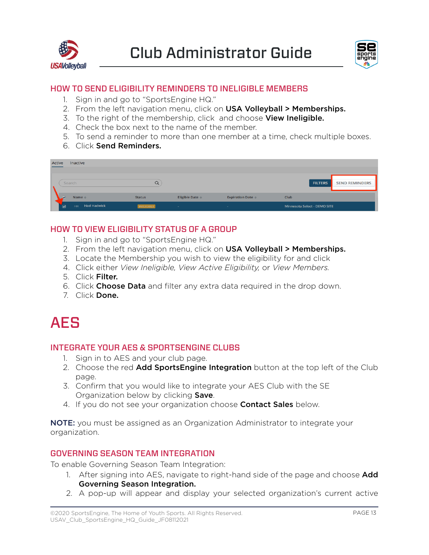



#### HOW TO SEND ELIGIBILITY REMINDERS TO INELIGIBLE MEMBERS

- 1. Sign in and go to "SportsEngine HQ."
- 2. From the left navigation menu, click on USA Volleyball > Memberships.
- 3. To the right of the membership, click and choose View Ineligible.
- 4. Check the box next to the name of the member.
- 5. To send a reminder to more than one member at a time, check multiple boxes.
- 6. Click Send Reminders.

| Active<br>Inactive                   |                   |                           |                                                |                                         |
|--------------------------------------|-------------------|---------------------------|------------------------------------------------|-----------------------------------------|
| Search                               | Q                 |                           |                                                | <b>FILTERS</b><br><b>SEND REMINDERS</b> |
| Name $\triangleq$                    | <b>Status</b>     | Eligible Date $\doteqdot$ | <b>Expiration Date <math>\Leftarrow</math></b> | Club                                    |
| <b>Had Hadwick</b><br>☑<br><b>HH</b> | <b>INELIGIBLE</b> | $\sim$                    | $\sim$                                         | Minnesota Select - DEMO SITE            |

#### HOW TO VIEW ELIGIBILITY STATUS OF A GROUP

- 1. Sign in and go to "SportsEngine HQ."
- 2. From the left navigation menu, click on USA Volleyball > Memberships.
- 3. Locate the Membership you wish to view the eligibility for and click
- 4. Click either *View Ineligible, View Active Eligibility,* or *View Members.*
- 5. Click Filter.
- 6. Click Choose Data and filter any extra data required in the drop down.
- 7. Click Done.



#### INTEGRATE YOUR AES & SPORTSENGINE CLUBS

- 1. Sign in to AES and your club page.
- 2. Choose the red **Add SportsEngine Integration** button at the top left of the Club page.
- 3. Confirm that you would like to integrate your AES Club with the SE Organization below by clicking **Save**.
- 4. If you do not see your organization choose **Contact Sales** below.

NOTE: you must be assigned as an Organization Administrator to integrate your organization.

#### GOVERNING SEASON TEAM INTEGRATION

To enable Governing Season Team Integration:

- 1. After signing into AES, navigate to right-hand side of the page and choose **Add** Governing Season Integration.
- 2. A pop-up will appear and display your selected organization's current active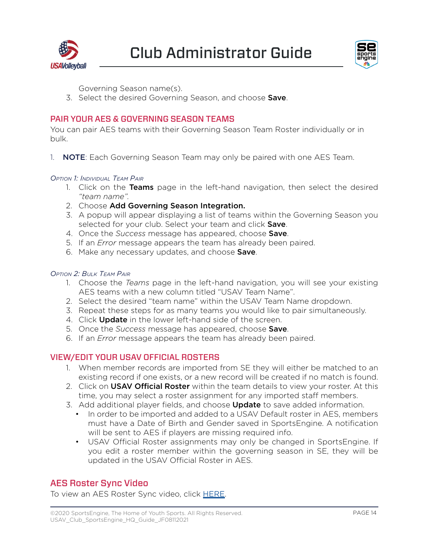



Governing Season name(s).

3. Select the desired Governing Season, and choose Save.

#### PAIR YOUR AES & GOVERNING SEASON TEAMS

You can pair AES teams with their Governing Season Team Roster individually or in bulk.

1. **NOTE:** Each Governing Season Team may only be paired with one AES Team.

#### *Option 1: Individual Team Pair*

- 1. Click on the **Teams** page in the left-hand navigation, then select the desired *"team name".*
- 2. Choose Add Governing Season Integration.
- 3. A popup will appear displaying a list of teams within the Governing Season you selected for your club. Select your team and click Save.
- 4. Once the *Success* message has appeared, choose Save.
- 5. If an *Error* message appears the team has already been paired.
- 6. Make any necessary updates, and choose **Save**.

#### *Option 2: Bulk Team Pair*

- 1. Choose the *Teams* page in the left-hand navigation, you will see your existing AES teams with a new column titled "USAV Team Name".
- 2. Select the desired "team name" within the USAV Team Name dropdown.
- 3. Repeat these steps for as many teams you would like to pair simultaneously.
- 4. Click **Update** in the lower left-hand side of the screen.
- 5. Once the *Success* message has appeared, choose Save.
- 6. If an *Error* message appears the team has already been paired.

#### VIEW/EDIT YOUR USAV OFFICIAL ROSTERS

- 1. When member records are imported from SE they will either be matched to an existing record if one exists, or a new record will be created if no match is found.
- 2. Click on USAV Official Roster within the team details to view your roster. At this time, you may select a roster assignment for any imported staff members.
- 3. Add additional player fields, and choose **Update** to save added information.
	- In order to be imported and added to a USAV Default roster in AES, members must have a Date of Birth and Gender saved in SportsEngine. A notification will be sent to AES if players are missing required info.
	- USAV Official Roster assignments may only be changed in SportsEngine. If you edit a roster member within the governing season in SE, they will be updated in the USAV Official Roster in AES.

#### AES Roster Sync Video

To view an AES Roster Sync video, click [HERE](https://sportsengine.wistia.com/medias/i39nb3dqru).